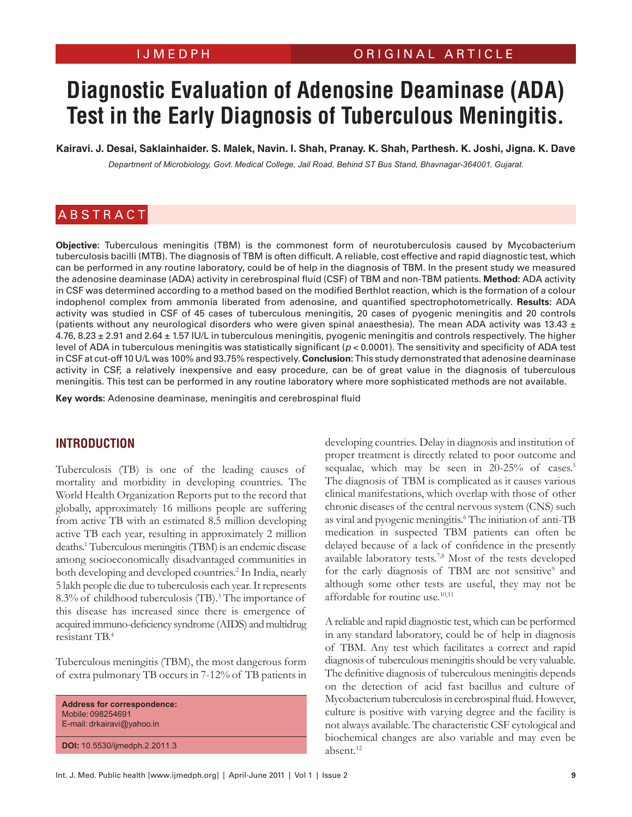# **Diagnostic Evaluation of Adenosine Deaminase (ADA) Test in the Early Diagnosis of Tuberculous Meningitis.**

**Kairavi. J. Desai, Saklainhaider. S. Malek, Navin. I. Shah, Pranay. K. Shah, Parthesh. K. Joshi, Jigna. K. Dave**

*Department of Microbiology, Govt. Medical College, Jail Road, Behind ST Bus Stand, Bhavnagar-364001. Gujarat.*

# **ABSTRACT**

**Objective:** Tuberculous meningitis (TBM) is the commonest form of neurotuberculosis caused by Mycobacterium tuberculosis bacilli (MTB). The diagnosis of TBM is often difficult. A reliable, cost effective and rapid diagnostic test, which can be performed in any routine laboratory, could be of help in the diagnosis of TBM. In the present study we measured the adenosine deaminase (ADA) activity in cerebrospinal fluid (CSF) of TBM and non-TBM patients. **Method:** ADA activity in CSF was determined according to a method based on the modified Berthlot reaction, which is the formation of a colour indophenol complex from ammonia liberated from adenosine, and quantified spectrophotometrically. **Results:** ADA activity was studied in CSF of 45 cases of tuberculous meningitis, 20 cases of pyogenic meningitis and 20 controls (patients without any neurological disorders who were given spinal anaesthesia). The mean ADA activity was 13.43  $\pm$ 4.76, 8.23 ± 2.91 and 2.64 ± 1.57 IU/L in tuberculous meningitis, pyogenic meningitis and controls respectively. The higher level of ADA in tuberculous meningitis was statistically significant ( $p < 0.0001$ ). The sensitivity and specificity of ADA test in CSF at cut-off 10 U/L was 100% and 93.75% respectively. **Conclusion:** This study demonstrated that adenosine deaminase activity in CSF, a relatively inexpensive and easy procedure, can be of great value in the diagnosis of tuberculous meningitis. This test can be performed in any routine laboratory where more sophisticated methods are not available.

**Key words:** Adenosine deaminase, meningitis and cerebrospinal fluid

#### **INTRODUCTION**

Tuberculosis (TB) is one of the leading causes of mortality and morbidity in developing countries. The World Health Organization Reports put to the record that globally, approximately 16 millions people are suffering from active TB with an estimated 8.5 million developing active TB each year, resulting in approximately 2 million deaths.1 Tuberculous meningitis (TBM) is an endemic disease among socioeconomically disadvantaged communities in both developing and developed countries.<sup>2</sup> In India, nearly 5 lakh people die due to tuberculosis each year. It represents 8.3% of childhood tuberculosis (TB).<sup>3</sup> The importance of this disease has increased since there is emergence of acquired immuno-deficiency syndrome (AIDS) and multidrug resistant TB.4

Tuberculous meningitis (TBM), the most dangerous form of extra pulmonary TB occurs in 7-12% of TB patients in

**Address for correspondence:** Mobile: 098254691 E-mail: drkairavi@yahoo.in

**DOI:** 10.5530/ijmedph.2.2011.3

developing countries. Delay in diagnosis and institution of proper treatment is directly related to poor outcome and sequalae, which may be seen in 20-25% of cases.<sup>5</sup> The diagnosis of TBM is complicated as it causes various clinical manifestations, which overlap with those of other chronic diseases of the central nervous system (CNS) such as viral and pyogenic meningitis.6 The initiation of anti-TB medication in suspected TBM patients can often be delayed because of a lack of confidence in the presently available laboratory tests.7,8 Most of the tests developed for the early diagnosis of TBM are not sensitive<sup>9</sup> and although some other tests are useful, they may not be affordable for routine use.<sup>10,11</sup>

A reliable and rapid diagnostic test, which can be performed in any standard laboratory, could be of help in diagnosis of TBM. Any test which facilitates a correct and rapid diagnosis of tuberculous meningitis should be very valuable. The definitive diagnosis of tuberculous meningitis depends on the detection of acid fast bacillus and culture of Mycobacterium tuberculosisin cerebrospinal fluid. However, culture is positive with varying degree and the facility is not always available. The characteristic CSF cytological and biochemical changes are also variable and may even be absent.12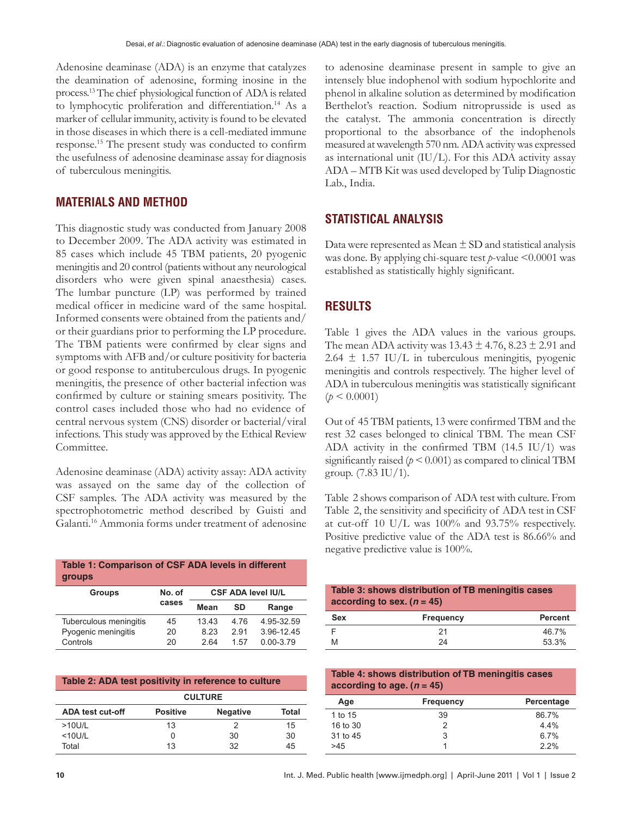Adenosine deaminase (ADA) is an enzyme that catalyzes the deamination of adenosine, forming inosine in the process.13 The chief physiological function of ADA is related to lymphocytic proliferation and differentiation.<sup>14</sup> As a marker of cellular immunity, activity is found to be elevated in those diseases in which there is a cell-mediated immune response.15 The present study was conducted to confirm the usefulness of adenosine deaminase assay for diagnosis of tuberculous meningitis.

#### **MATERIALS AND METHOD**

This diagnostic study was conducted from January 2008 to December 2009. The ADA activity was estimated in 85 cases which include 45 TBM patients, 20 pyogenic meningitis and 20 control (patients without any neurological disorders who were given spinal anaesthesia) cases. The lumbar puncture (LP) was performed by trained medical officer in medicine ward of the same hospital. Informed consents were obtained from the patients and/ or their guardians prior to performing the LP procedure. The TBM patients were confirmed by clear signs and symptoms with AFB and/or culture positivity for bacteria or good response to antituberculous drugs. In pyogenic meningitis, the presence of other bacterial infection was confirmed by culture or staining smears positivity. The control cases included those who had no evidence of central nervous system (CNS) disorder or bacterial/viral infections. This study was approved by the Ethical Review Committee.

Adenosine deaminase (ADA) activity assay: ADA activity was assayed on the same day of the collection of CSF samples. The ADA activity was measured by the spectrophotometric method described by Guisti and Galanti.16 Ammonia forms under treatment of adenosine

| Table 1: Comparison of CSF ADA levels in different<br><b>groups</b> |        |                           |      |               |  |
|---------------------------------------------------------------------|--------|---------------------------|------|---------------|--|
| <b>Groups</b>                                                       | No. of | <b>CSF ADA level IU/L</b> |      |               |  |
|                                                                     | cases  | Mean                      | SD   | Range         |  |
| Tuberculous meningitis                                              | 45     | 13.43                     | 4.76 | 4.95-32.59    |  |
| Pyogenic meningitis                                                 | 20     | 8.23                      | 2.91 | 3.96-12.45    |  |
| Controls                                                            | 20     | 2.64                      | 1.57 | $0.00 - 3.79$ |  |

| Table 2: ADA test positivity in reference to culture |                 |                 |       |  |  |
|------------------------------------------------------|-----------------|-----------------|-------|--|--|
| <b>CULTURE</b>                                       |                 |                 |       |  |  |
| <b>ADA test cut-off</b>                              | <b>Positive</b> | <b>Negative</b> | Total |  |  |
| $>10$ U/L                                            | 13              |                 | 15    |  |  |
| $<$ 10U/L                                            | O               | 30              | 30    |  |  |
| Total                                                | 13              | 32              | 45    |  |  |

to adenosine deaminase present in sample to give an intensely blue indophenol with sodium hypochlorite and phenol in alkaline solution as determined by modification Berthelot's reaction. Sodium nitroprusside is used as the catalyst. The ammonia concentration is directly proportional to the absorbance of the indophenols measured at wavelength 570 nm. ADA activity was expressed as international unit (IU/L). For this ADA activity assay ADA – MTB Kit was used developed by Tulip Diagnostic Lab., India.

#### **STATISTICAL ANALYSIS**

Data were represented as Mean  $\pm$  SD and statistical analysis was done. By applying chi-square test *p*-value <0.0001 was established as statistically highly significant.

### **RESULTS**

Table 1 gives the ADA values in the various groups. The mean ADA activity was  $13.43 \pm 4.76$ ,  $8.23 \pm 2.91$  and  $2.64 \pm 1.57$  IU/L in tuberculous meningitis, pyogenic meningitis and controls respectively. The higher level of ADA in tuberculous meningitis was statistically significant  $(p < 0.0001)$ 

Out of 45 TBM patients, 13 were confirmed TBM and the rest 32 cases belonged to clinical TBM. The mean CSF ADA activity in the confirmed TBM (14.5 IU/1) was significantly raised  $(p < 0.001)$  as compared to clinical TBM group. (7.83 IU/1).

Table 2 shows comparison of ADA test with culture. From Table 2, the sensitivity and specificity of ADA test in CSF at cut-off 10 U/L was 100% and 93.75% respectively. Positive predictive value of the ADA test is 86.66% and negative predictive value is 100%.

| Table 3: shows distribution of TB meningitis cases<br>according to sex. $(n = 45)$ |                  |                |  |
|------------------------------------------------------------------------------------|------------------|----------------|--|
| <b>Sex</b>                                                                         | <b>Frequency</b> | <b>Percent</b> |  |
|                                                                                    | 21               | 46.7%          |  |
| M                                                                                  | 24               | 53.3%          |  |

**Table 4: shows distribution of TB meningitis cases according to age. (***n* **= 45)**

| Age      | <b>Frequency</b> | Percentage |
|----------|------------------|------------|
| 1 to 15  | 39               | 86.7%      |
| 16 to 30 | 2                | 4.4%       |
| 31 to 45 | 3                | 6.7%       |
| >45      |                  | 2.2%       |
|          |                  |            |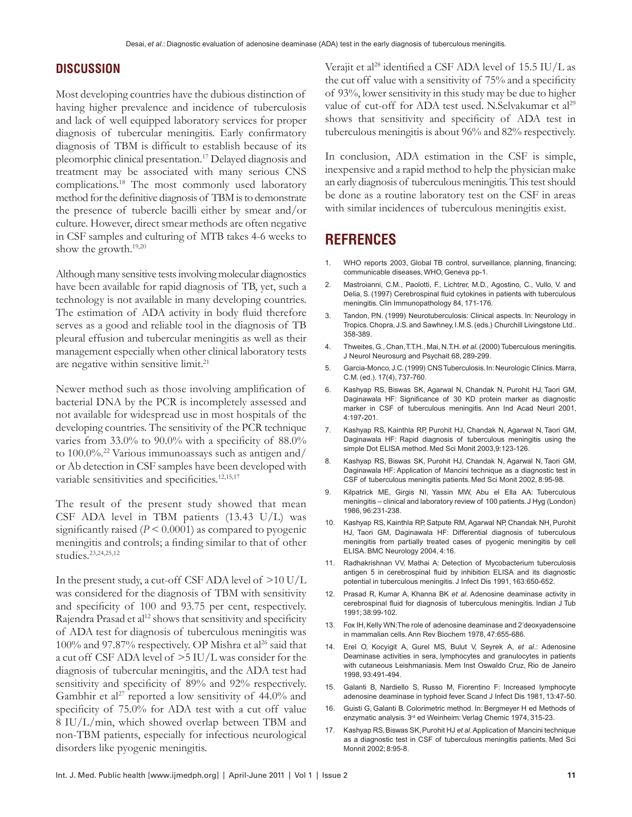#### **DISCUSSION**

Most developing countries have the dubious distinction of having higher prevalence and incidence of tuberculosis and lack of well equipped laboratory services for proper diagnosis of tubercular meningitis. Early confirmatory diagnosis of TBM is difficult to establish because of its pleomorphic clinical presentation.17 Delayed diagnosis and treatment may be associated with many serious CNS complications.18 The most commonly used laboratory method for the definitive diagnosis of TBM is to demonstrate the presence of tubercle bacilli either by smear and/or culture. However, direct smear methods are often negative in CSF samples and culturing of MTB takes 4-6 weeks to show the growth.19,20

Although many sensitive tests involving molecular diagnostics have been available for rapid diagnosis of TB, yet, such a technology is not available in many developing countries. The estimation of ADA activity in body fluid therefore serves as a good and reliable tool in the diagnosis of TB pleural effusion and tubercular meningitis as well as their management especially when other clinical laboratory tests are negative within sensitive limit.21

Newer method such as those involving amplification of bacterial DNA by the PCR is incompletely assessed and not available for widespread use in most hospitals of the developing countries. The sensitivity of the PCR technique varies from 33.0% to 90.0% with a specificity of 88.0% to 100.0%.22 Various immunoassays such as antigen and/ or Ab detection in CSF samples have been developed with variable sensitivities and specificities.<sup>12,15,17</sup>

The result of the present study showed that mean CSF ADA level in TBM patients (13.43 U/L) was significantly raised  $(P < 0.0001)$  as compared to pyogenic meningitis and controls; a finding similar to that of other studies.23,24,25,12

In the present study, a cut-off CSF ADA level of >10 U/L was considered for the diagnosis of TBM with sensitivity and specificity of 100 and 93.75 per cent, respectively. Rajendra Prasad et al<sup>12</sup> shows that sensitivity and specificity of ADA test for diagnosis of tuberculous meningitis was 100% and 97.87% respectively. OP Mishra et al<sup>26</sup> said that a cut off CSF ADA level of >5 IU/L was consider for the diagnosis of tubercular meningitis, and the ADA test had sensitivity and specificity of 89% and 92% respectively. Gambhir et al<sup>27</sup> reported a low sensitivity of  $44.0\%$  and specificity of 75.0% for ADA test with a cut off value 8 IU/L/min, which showed overlap between TBM and non-TBM patients, especially for infectious neurological disorders like pyogenic meningitis.

Verajit et al<sup>28</sup> identified a CSF ADA level of 15.5 IU/L as the cut off value with a sensitivity of 75% and a specificity of 93%, lower sensitivity in this study may be due to higher value of cut-off for ADA test used. N.Selvakumar et al<sup>29</sup> shows that sensitivity and specificity of ADA test in tuberculous meningitis is about 96% and 82% respectively.

In conclusion, ADA estimation in the CSF is simple, inexpensive and a rapid method to help the physician make an early diagnosis of tuberculous meningitis. This test should be done as a routine laboratory test on the CSF in areas with similar incidences of tuberculous meningitis exist.

## **REFRENCES**

- 1. WHO reports 2003, Global TB control, surveillance, planning, financing; communicable diseases, WHO, Geneva pp-1.
- 2. Mastroianni, C.M., Paolotti, F., Lichtrer, M.D., Agostino, C., Vullo, V. and Delia, S. (1997) Cerebrospinal fluid cytokines in patients with tuberculous meningitis. Clin Immunopathology 84, 171-176.
- 3. Tandon, P.N. (1999) Neurotuberculosis: Clinical aspects. In: Neurology in Tropics. Chopra, J.S. and Sawhney, I.M.S. (eds.) Churchill Livingstone Ltd.. 358-389.
- 4. Thweites, G., Chan, T.T.H., Mai, N.T.H. *et al*. (2000) Tuberculous meningitis. J Neurol Neurosurg and Psychait 68, 289-299.
- 5. Garcia-Monco, J.C. (1999) CNS Tuberculosis. In: Neurologic Clinics. Marra, C.M. (ed.). 17(4), 737-760.
- 6. Kashyap RS, Biswas SK, Agarwal N, Chandak N, Purohit HJ, Taori GM, Daginawala HF: Significance of 30 KD protein marker as diagnostic marker in CSF of tuberculous meningitis. Ann Ind Acad Neurl 2001, 4:197-201.
- 7. Kashyap RS, Kainthla RP, Purohit HJ, Chandak N, Agarwal N, Taori GM, Daginawala HF: Rapid diagnosis of tuberculous meningitis using the simple Dot ELISA method. Med Sci Monit 2003,9:123-126.
- 8. Kashyap RS, Biswas SK, Purohit HJ, Chandak N, Agarwal N, Taori GM, Daginawala HF: Application of Mancini technique as a diagnostic test in CSF of tuberculous meningitis patients. Med Sci Monit 2002, 8:95-98.
- 9. Kilpatrick ME, Girgis NI, Yassin MW, Abu el Ella AA: Tuberculous meningitis – clinical and laboratory review of 100 patients. J Hyg (London) 1986, 96:231-238.
- 10. Kashyap RS, Kainthla RP, Satpute RM, Agarwal NP, Chandak NH, Purohit HJ, Taori GM, Daginawala HF: Differential diagnosis of tuberculous meningitis from partially treated cases of pyogenic meningitis by cell ELISA. BMC Neurology 2004, 4:16.
- 11. Radhakrishnan VV, Mathai A: Detection of Mycobacterium tuberculosis antigen 5 in cerebrospinal fluid by inhibition ELISA and its diagnostic potential in tuberculous meningitis. J Infect Dis 1991, 163:650-652.
- 12. Prasad R, Kumar A, Khanna BK *et al*. Adenosine deaminase activity in cerebrospinal fluid for diagnosis of tuberculous meningitis. Indian J Tub 1991; 38:99-102.
- 13. Fox IH, Kelly WN: The role of adenosine deaminase and 2'deoxyadensoine in mammalian cells. Ann Rev Biochem 1978, 47:655-686.
- 14. Erel O, Kocyigit A, Gurel MS, Bulut V, Seyrek A, *et al*.: Adenosine Deaminase activities in sera, lymphocytes and granulocytes in patients with cutaneous Leishmaniasis. Mem Inst Oswaldo Cruz, Rio de Janeiro 1998, 93:491-494.
- 15. Galanti B, Nardiello S, Russo M, Fiorentino F: Increased lymphocyte adenosine deaminase in typhoid fever. Scand J Infect Dis 1981, 13:47-50.
- 16. Guisti G, Galanti B. Colorimetric method. In: Bergmeyer H ed Methods of enzymatic analysis. 3<sup>rd</sup> ed Weinheim: Verlag Chemic 1974, 315-23.
- 17. Kashyap RS, Biswas SK, Purohit HJ *et al*. Application of Mancini technique as a diagnostic test in CSF of tuberculous meningitis patients. Med Sci Monnit 2002; 8:95-8.